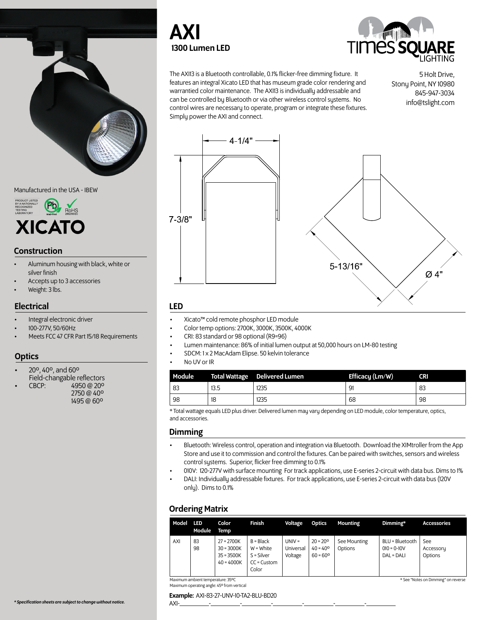

Manufactured in the USA - IBEW



## **Construction**

- Aluminum housing with black, white or silver finish
- Accepts up to 3 accessories
- Weight: 3 lbs.

## **Electrical**

- Integral electronic driver
- 100-277V, 50/60Hz
- Meets FCC 47 CFR Part 15/18 Requirements

## **Optics**

- 20º, 40º, and 60º
- 
- 

Field-changable reflectors<br>CBCP: 4950 @ 20°<br>2750 @ 40°<br>1495 @ 60°





The AXI13 is a Bluetooth controllable, 0.1% flicker-free dimming fixture. It features an integral Xicato LED that has museum grade color rendering and warrantied color maintenance. The AXI13 is individually addressable and can be controlled by Bluetooth or via other wireless control systems. No control wires are necessary to operate, program or integrate these fixtures. Simply power the AXI and connect.

5 Holt Drive, Stony Point, NY 10980 845-947-3034 info@tslight.com



## LED

- Xicato™ cold remote phosphor LED module
- Color temp options: 2700K, 3000K, 3500K, 4000K
- CRI: 83 standard or 98 optional (R9=96)
- Lumen maintenance: 86% of initial lumen output at 50,000 hours on LM-80 testing
- SDCM: 1 x 2 MacAdam Elipse. 50 kelvin tolerance
- No UV or IR

| Module |      | <b>Total Wattage Delivered Lumen</b> | Efficacy (Lm/W) | <b>CRI</b> |
|--------|------|--------------------------------------|-----------------|------------|
| 83     | 13.5 | 1235                                 | 91              | 83         |
| 98     | 18   | 1235                                 | 68              | 98         |

\* Total wattage equals LED plus driver. Delivered lumen may vary depending on LED module, color temperature, optics, and accessories.

## Dimming

- Bluetooth: Wireless control, operation and integration via Bluetooth. Download the XIMtroller from the App Store and use it to commission and control the fixtures. Can be paired with switches, sensors and wireless control systems. Superior, flicker free dimming to 0.1%
- 010V: 120-277V with surface mounting For track applications, use E-series 2-circuit with data bus. Dims to 1%
- DALI: Individually addressable fixtures. For track applications, use E-series 2-circuit with data bus (120V only). Dims to 0.1%

# Ordering Matrix

| AXI<br>83<br>$B = Black$<br>BLU = Bluetooth<br>$20 = 20^{\circ}$<br>$27 = 2700K$<br>$UNIV =$<br>See Mounting<br>See<br>$40 = 40^{\circ}$<br>$W = White$<br>Universal<br>Options<br>98<br>$30 = 3000K$<br>$010 = 0 - 10V$<br>Accessory<br>Voltage<br>$60 = 60^{\circ}$<br>$35 = 3500K$<br>$S = Silver$<br>Options<br>DAL = DALI<br>$40 = 4000K$<br>$CC =$ Custom<br>Color | Model | LED<br>Module | Color<br>Temp | Finish | Voltage | <b>Optics</b> | <b>Mounting</b> | Dimming* | <b>Accessories</b> |
|--------------------------------------------------------------------------------------------------------------------------------------------------------------------------------------------------------------------------------------------------------------------------------------------------------------------------------------------------------------------------|-------|---------------|---------------|--------|---------|---------------|-----------------|----------|--------------------|
|                                                                                                                                                                                                                                                                                                                                                                          |       |               |               |        |         |               |                 |          |                    |

Maximum ambient temperature: 35ºC Maximum operating angle: 45º from vertical

Example: AXI-83-27-UNV-10-TA2-BLU-BD20